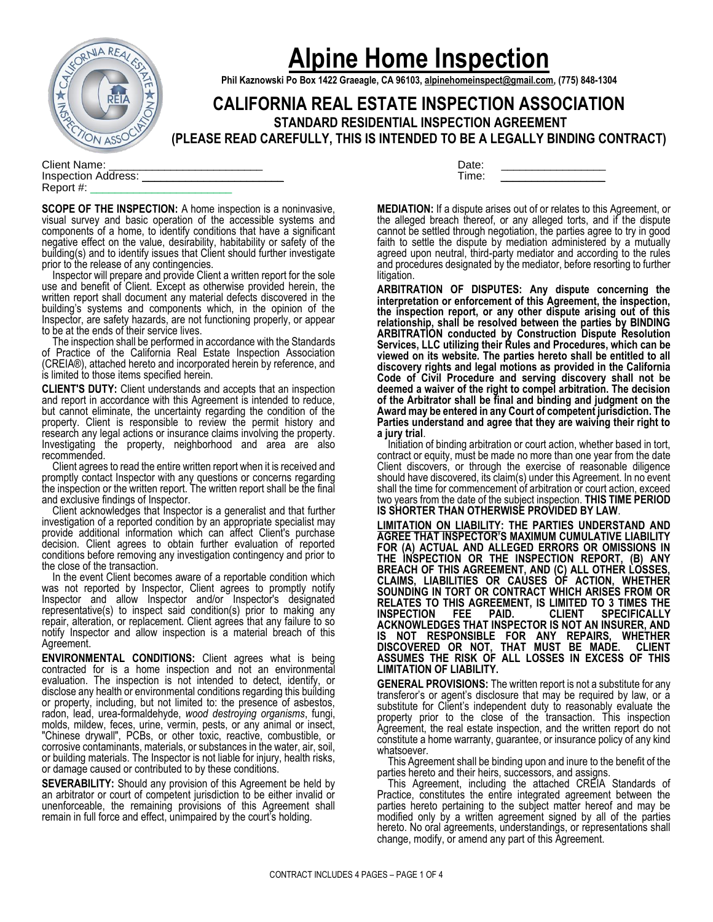

# **Alpine Home Inspection**

**Phil Kaznowski Po Box 1422 Graeagle, CA 96103, [alpinehomeinspect@gmail.com,](mailto:alpinehomeinspect@gmail.com) (775) 848-1304**

**CALIFORNIA REAL ESTATE INSPECTION ASSOCIATION STANDARD RESIDENTIAL INSPECTION AGREEMENT**

**(PLEASE READ CAREFULLY, THIS IS INTENDED TO BE A LEGALLY BINDING CONTRACT)**

Client Name: Inspection Address: Report #: \_\_\_\_\_\_\_\_\_\_\_\_\_\_\_\_\_\_\_\_\_\_\_

**SCOPE OF THE INSPECTION:** A home inspection is a noninvasive, visual survey and basic operation of the accessible systems and components of a home, to identify conditions that have a significant negative effect on the value, desirability, habitability or safety of the building(s) and to identify issues that Client should further investigate prior to the release of any contingencies.

 Inspector will prepare and provide Client a written report for the sole use and benefit of Client. Except as otherwise provided herein, the written report shall document any material defects discovered in the building's systems and components which, in the opinion of the Inspector, are safety hazards, are not functioning properly, or appear to be at the ends of their service lives.

 The inspection shall be performed in accordance with the Standards of Practice of the California Real Estate Inspection Association (CREIA®), attached hereto and incorporated herein by reference, and is limited to those items specified herein.

**CLIENT'S DUTY:** Client understands and accepts that an inspection and report in accordance with this Agreement is intended to reduce, but cannot eliminate, the uncertainty regarding the condition of the property. Client is responsible to review the permit history and research any legal actions or insurance claims involving the property. Investigating the property, neighborhood and area are also recommended.

 Client agrees to read the entire written report when it is received and promptly contact Inspector with any questions or concerns regarding the inspection or the written report. The written report shall be the final and exclusive findings of Inspector.

 Client acknowledges that Inspector is a generalist and that further investigation of a reported condition by an appropriate specialist may provide additional information which can affect Client's purchase decision. Client agrees to obtain further evaluation of reported conditions before removing any investigation contingency and prior to the close of the transaction.

 In the event Client becomes aware of a reportable condition which was not reported by Inspector, Client agrees to promptly notify Inspector and allow Inspector and/or Inspector's designated representative(s) to inspect said condition(s) prior to making any repair, alteration, or replacement. Client agrees that any failure to so notify Inspector and allow inspection is a material breach of this Agreement.

**ENVIRONMENTAL CONDITIONS:** Client agrees what is being contracted for is a home inspection and not an environmental evaluation. The inspection is not intended to detect, identify, or disclose any health or environmental conditions regarding this building or property, including, but not limited to: the presence of asbestos, radon, lead, urea-formaldehyde, *wood destroying organisms*, fungi, molds, mildew, feces, urine, vermin, pests, or any animal or insect, "Chinese drywall", PCBs, or other toxic, reactive, combustible, or corrosive contaminants, materials, or substances in the water, air, soil, or building materials. The Inspector is not liable for injury, health risks, or damage caused or contributed to by these conditions.

**SEVERABILITY:** Should any provision of this Agreement be held by an arbitrator or court of competent jurisdiction to be either invalid or unenforceable, the remaining provisions of this Agreement shall remain in full force and effect, unimpaired by the court's holding.

| Date: |  |
|-------|--|
| Time: |  |

**MEDIATION:** If a dispute arises out of or relates to this Agreement, or the alleged breach thereof, or any alleged torts, and if the dispute cannot be settled through negotiation, the parties agree to try in good faith to settle the dispute by mediation administered by a mutually agreed upon neutral, third-party mediator and according to the rules and procedures designated by the mediator, before resorting to further litigation.

**ARBITRATION OF DISPUTES: Any dispute concerning the interpretation or enforcement of this Agreement, the inspection, the inspection report, or any other dispute arising out of this relationship, shall be resolved between the parties by BINDING ARBITRATION conducted by Construction Dispute Resolution Services, LLC utilizing their Rules and Procedures, which can be viewed on its website. The parties hereto shall be entitled to all discovery rights and legal motions as provided in the California Code of Civil Procedure and serving discovery shall not be deemed a waiver of the right to compel arbitration. The decision of the Arbitrator shall be final and binding and judgment on the Award may be entered in any Court of competent jurisdiction. The Parties understand and agree that they are waiving their right to a jury trial**.

 Initiation of binding arbitration or court action, whether based in tort, contract or equity, must be made no more than one year from the date Client discovers, or through the exercise of reasonable diligence should have discovered, its claim(s) under this Agreement. In no event shall the time for commencement of arbitration or court action, exceed two years from the date of the subject inspection. **THIS TIME PERIOD IS SHORTER THAN OTHERWISE PROVIDED BY LAW**.

**LIMITATION ON LIABILITY: THE PARTIES UNDERSTAND AND AGREE THAT INSPECTOR'S MAXIMUM CUMULATIVE LIABILITY FOR (A) ACTUAL AND ALLEGED ERRORS OR OMISSIONS IN THE INSPECTION OR THE INSPECTION REPORT, (B) ANY BREACH OF THIS AGREEMENT, AND (C) ALL OTHER LOSSES, CLAIMS, LIABILITIES OR CAUSES OF ACTION, WHETHER SOUNDING IN TORT OR CONTRACT WHICH ARISES FROM OR RELATES TO THIS AGREEMENT, IS LIMITED TO 3 TIMES THE INSPECTION FEE PAID. CLIENT SPECIFICALLY ACKNOWLEDGES THAT INSPECTOR IS NOT AN INSURER, AND IS NOT RESPONSIBLE FOR ANY REPAIRS, WHETHER DISCOVERED OR NOT, THAT MUST BE MADE. CLIENT ASSUMES THE RISK OF ALL LOSSES IN EXCESS OF THIS LIMITATION OF LIABILITY.**

**GENERAL PROVISIONS:** The written report is not a substitute for any transferor's or agent's disclosure that may be required by law, or a substitute for Client's independent duty to reasonably evaluate the property prior to the close of the transaction. This inspection Agreement, the real estate inspection, and the written report do not constitute a home warranty, guarantee, or insurance policy of any kind whatsoever.

 This Agreement shall be binding upon and inure to the benefit of the parties hereto and their heirs, successors, and assigns.

 This Agreement, including the attached CREIA Standards of Practice, constitutes the entire integrated agreement between the parties hereto pertaining to the subject matter hereof and may be modified only by a written agreement signed by all of the parties hereto. No oral agreements, understandings, or representations shall change, modify, or amend any part of this Agreement.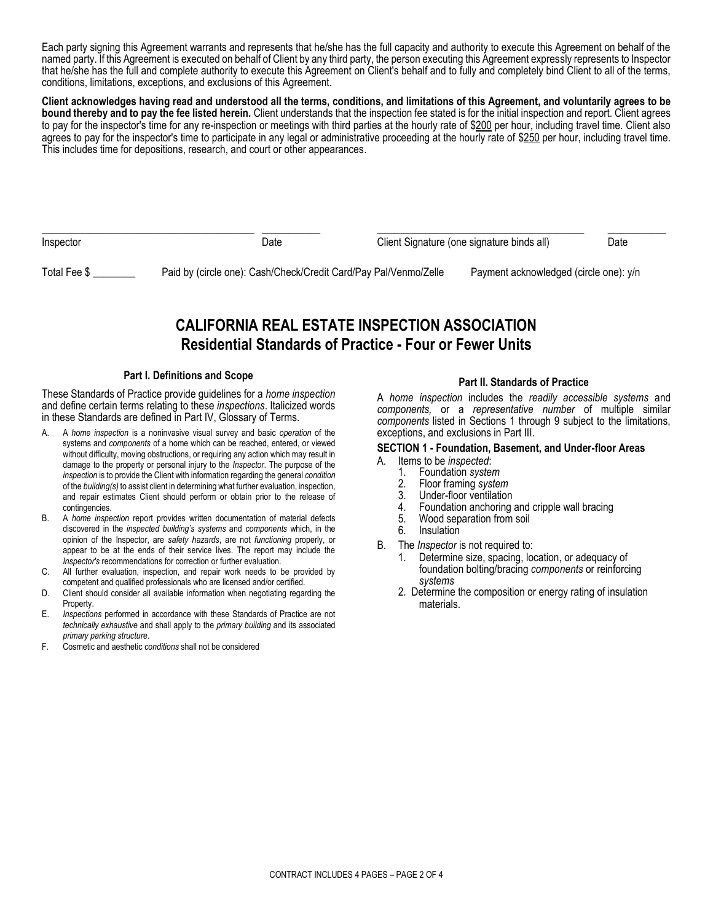Each party signing this Agreement warrants and represents that he/she has the full capacity and authority to execute this Agreement on behalf of the named party. If this Agreement is executed on behalf of Client by any third party, the person executing this Agreement expressly represents to Inspector that he/she has the full and complete authority to execute this Agreement on Client's behalf and to fully and completely bind Client to all of the terms, conditions, limitations, exceptions, and exclusions of this Agreement.

**Client acknowledges having read and understood all the terms, conditions, and limitations of this Agreement, and voluntarily agrees to be bound thereby and to pay the fee listed herein.** Client understands that the inspection fee stated is for the initial inspection and report. Client agrees to pay for the inspector's time for any re-inspection or meetings with third parties at the hourly rate of \$200 per hour, including travel time. Client also agrees to pay for the inspector's time to participate in any legal or administrative proceeding at the hourly rate of \$250 per hour, including travel time. This includes time for depositions, research, and court or other appearances.

| Inspector    | Date                                                             | Client Signature (one signature binds all) |                                        | Date |
|--------------|------------------------------------------------------------------|--------------------------------------------|----------------------------------------|------|
| Total Fee \$ | Paid by (circle one): Cash/Check/Credit Card/Pay Pal/Venmo/Zelle |                                            | Payment acknowledged (circle one): y/n |      |

# **CALIFORNIA REAL ESTATE INSPECTION ASSOCIATION Residential Standards of Practice - Four or Fewer Units**

#### **Part I. Definitions and Scope**

These Standards of Practice provide guidelines for a *home inspection* and define certain terms relating to these *inspections*. Italicized words in these Standards are defined in Part IV, Glossary of Terms.

- A. A *home inspection* is a noninvasive visual survey and basic *operation* of the systems and *components* of a home which can be reached, entered, or viewed without difficulty, moving obstructions, or requiring any action which may result in damage to the property or personal injury to the *Inspector*. The purpose of the *inspection* is to provide the Client with information regarding the general *condition*  of the *building(s)* to assist client in determining what further evaluation, inspection, and repair estimates Client should perform or obtain prior to the release of contingencies.
- B. A *home inspection* report provides written documentation of material defects discovered in the *inspected building's systems* and *components* which, in the opinion of the Inspector, are *safety hazards*, are not *functioning* properly, or appear to be at the ends of their service lives. The report may include the *Inspector's* recommendations for correction or further evaluation.
- C. All further evaluation, inspection, and repair work needs to be provided by competent and qualified professionals who are licensed and/or certified.
- D. Client should consider all available information when negotiating regarding the Property.
- E. *Inspections* performed in accordance with these Standards of Practice are not *technically exhaustive* and shall apply to the *primary building* and its associated *primary parking structure*.
- F. Cosmetic and aesthetic *conditions* shall not be considered

#### **Part II. Standards of Practice**

A *home inspection* includes the *readily accessible systems* and *components,* or a *representative number* of multiple similar *components* listed in Sections 1 through 9 subject to the limitations, exceptions, and exclusions in Part III.

#### **SECTION 1 - Foundation, Basement, and Under-floor Areas**

- A. Items to be *inspected*:
	- 1. Foundation *system*
	- 2. Floor framing *system*
	- 3. Under-floor ventilation<br>4. Foundation anchoring
	- 4. Foundation anchoring and cripple wall bracing
	- 5. Wood separation from soil
	- 6. Insulation
- B. The *Inspector* is not required to:
	- 1. Determine size, spacing, location, or adequacy of foundation bolting/bracing *components* or reinforcing *systems*
	- 2. Determine the composition or energy rating of insulation materials.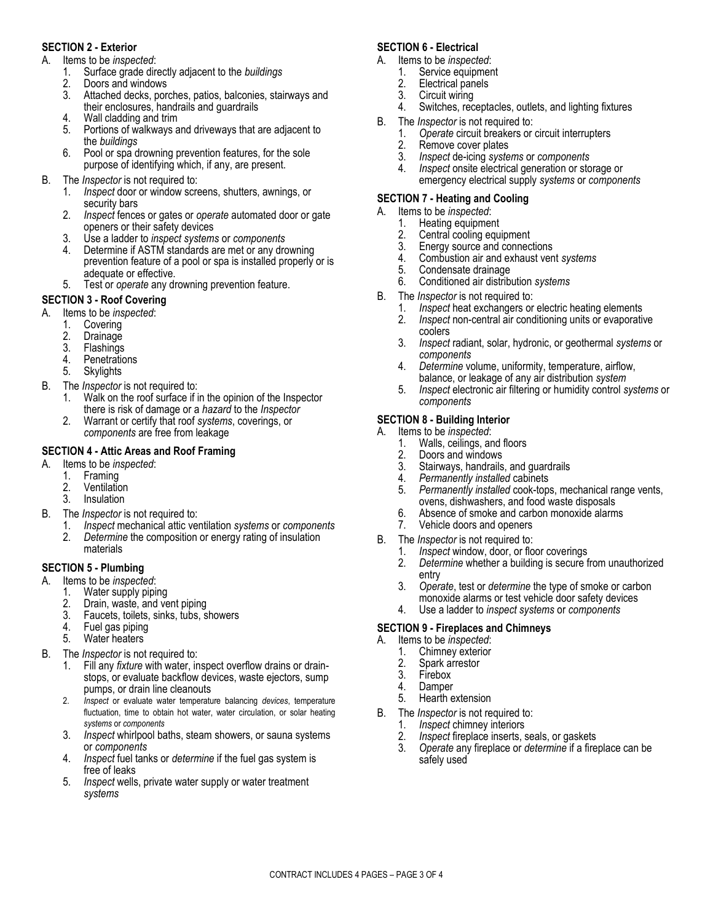# **SECTION 2 - Exterior**

- A. Items to be *inspected*:
	- 1. Surface grade directly adjacent to the *buildings*
	- 2. Doors and windows
	- Attached decks, porches, patios, balconies, stairways and their enclosures, handrails and guardrails
	- 4. Wall cladding and trim
	- 5. Portions of walkways and driveways that are adjacent to the *buildings*
	- 6. Pool or spa drowning prevention features, for the sole purpose of identifying which, if any, are present.
- B. The *Inspector* is not required to:
	- 1. *Inspect* door or window screens, shutters, awnings, or security bars
	- 2. *Inspect* fences or gates or *operate* automated door or gate openers or their safety devices
	- 3. Use a ladder to *inspect systems* or *components*
	- 4. Determine if ASTM standards are met or any drowning prevention feature of a pool or spa is installed properly or is adequate or effective.
	- 5. Test or *operate* any drowning prevention feature.

# **SECTION 3 - Roof Covering**

- A. Items to be *inspected*:
	- 1. Covering
	- 2. Drainage
	- 3. Flashings
	- 4. Penetrations
	- 5. Skylights
- B. The *Inspector* is not required to:
	- 1. Walk on the roof surface if in the opinion of the Inspector there is risk of damage or a *hazard* to the *Inspector*
	- 2. Warrant or certify that roof *systems*, coverings, or *components* are free from leakage

# **SECTION 4 - Attic Areas and Roof Framing**

- A. Items to be *inspected*:
	- 1. Framing
	- 2. Ventilation<br>3. Insulation
	- **Insulation**
- B. The *Inspector* is not required to:
	- 1. *Inspect* mechanical attic ventilation *systems* or *components* 2. *Determine* the composition or energy rating of insulation materials

# **SECTION 5 - Plumbing**

- A. Items to be *inspected*:
	- 1. Water supply piping
	- 2. Drain, waste, and vent piping
	- 3. Faucets, toilets, sinks, tubs, showers<br>4. Fuel gas piping
	- 4. Fuel gas piping<br>5. Water heaters
	- Water heaters
- B. The *Inspector* is not required to:
	- 1. Fill any *fixture* with water, inspect overflow drains or drainstops, or evaluate backflow devices, waste ejectors, sump pumps, or drain line cleanouts
	- 2. *Inspect* or evaluate water temperature balancing *devices*, temperature fluctuation, time to obtain hot water, water circulation, or solar heating *systems* or *components*
	- 3. *Inspect* whirlpool baths, steam showers, or sauna systems or *components*
	- 4. *Inspect* fuel tanks or *determine* if the fuel gas system is free of leaks
	- 5. *Inspect* wells, private water supply or water treatment *systems*

# **SECTION 6 - Electrical**

- A. Items to be *inspected*:
	- 1. Service equipment<br>2. Electrical panels
	- 2. Electrical panels<br>3. Circuit wiring
	- Circuit wiring
	- 4. Switches, receptacles, outlets, and lighting fixtures
- B. The *Inspector* is not required to:
	- 1. *Operate* circuit breakers or circuit interrupters
	- 2. Remove cover plates<br>3. Inspect de-icing syste
	- 3. *Inspect* de-icing *systems* or *components*
	- 4. *Inspect* onsite electrical generation or storage or emergency electrical supply *systems* or *components*

# **SECTION 7 - Heating and Cooling**

- A. Items to be *inspected*:
	- 1. Heating equipment<br>2. Central cooling equ
	- Central cooling equipment
	- 3. Energy source and connections
	- 4. Combustion air and exhaust vent *systems*
	- 5. Condensate drainage
	- 6. Conditioned air distribution *systems*
- B. The *Inspector* is not required to:
	- 1. *Inspect* heat exchangers or electric heating elements
	- 2. *Inspect* non-central air conditioning units or evaporative coolers
	- 3. *Inspect* radiant, solar, hydronic, or geothermal *systems* or *components*
	- 4. *Determine* volume, uniformity, temperature, airflow, balance, or leakage of any air distribution *system*
	- 5. *Inspect* electronic air filtering or humidity control *systems* or *components*

# **SECTION 8 - Building Interior**

- A. Items to be *inspected*:
	- 1. Walls, ceilings, and floors
	- 2. Doors and windows
	- 3. Stairways, handrails, and guardrails<br>4. Permanently installed cabinets
	- 4. *Permanently installed* cabinets
	- 5. *Permanently installed* cook-tops, mechanical range vents, ovens, dishwashers, and food waste disposals
	- 6. Absence of smoke and carbon monoxide alarms
	- 7. Vehicle doors and openers
- B. The *Inspector* is not required to:
	- 1. *Inspect* window, door, or floor coverings
	- 2. *Determine* whether a building is secure from unauthorized entry
	- 3. *Operate*, test or *determine* the type of smoke or carbon monoxide alarms or test vehicle door safety devices
	- 4. Use a ladder to *inspect systems* or *components*

#### **SECTION 9 - Fireplaces and Chimneys**

- A. Items to be *inspected*:
	- 1. Chimney exterior<br>2. Spark arrestor
	- Spark arrestor
	- 3. Firebox<br>4 Damper
	- 4. Damper<br>5. Hearth e
	- Hearth extension
- B. The *Inspector* is not required to:
	- 1. *Inspect* chimney interiors
	- Inspect fireplace inserts, seals, or gaskets
	- 3. *Operate* any fireplace or *determine* if a fireplace can be safely used